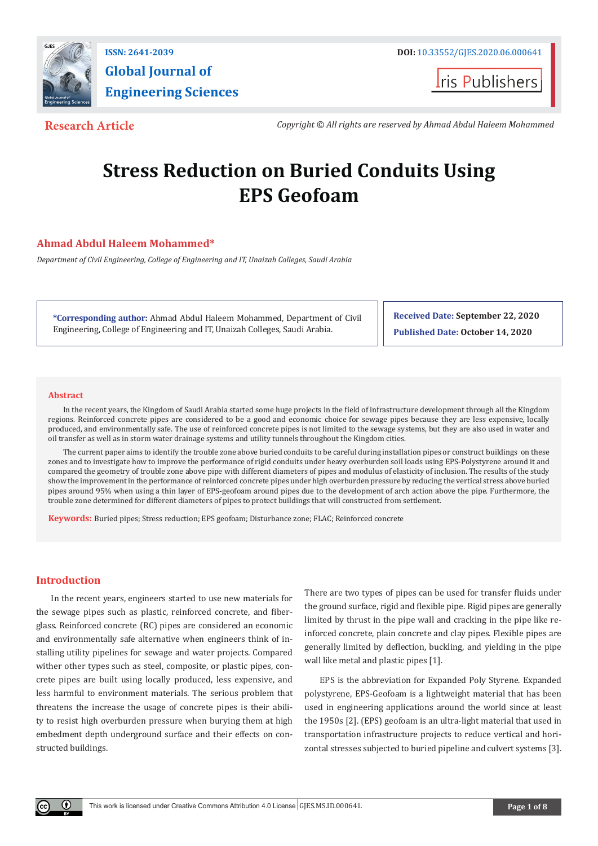

**Global Journal of Engineering Sciences**

**I**ris Publishers

**Research Article** *Copyright © All rights are reserved by Ahmad Abdul Haleem Mohammed*

# **Stress Reduction on Buried Conduits Using EPS Geofoam**

# **Ahmad Abdul Haleem Mohammed\***

*Department of Civil Engineering, College of Engineering and IT, Unaizah Colleges, Saudi Arabia*

**\*Corresponding author:** Ahmad Abdul Haleem Mohammed, Department of Civil Engineering, College of Engineering and IT, Unaizah Colleges, Saudi Arabia.

**Received Date: September 22, 2020 Published Date: October 14, 2020**

#### **Abstract**

In the recent years, the Kingdom of Saudi Arabia started some huge projects in the field of infrastructure development through all the Kingdom regions. Reinforced concrete pipes are considered to be a good and economic choice for sewage pipes because they are less expensive, locally produced, and environmentally safe. The use of reinforced concrete pipes is not limited to the sewage systems, but they are also used in water and oil transfer as well as in storm water drainage systems and utility tunnels throughout the Kingdom cities.

The current paper aims to identify the trouble zone above buried conduits to be careful during installation pipes or construct buildings on these zones and to investigate how to improve the performance of rigid conduits under heavy overburden soil loads using EPS-Polystyrene around it and compared the geometry of trouble zone above pipe with different diameters of pipes and modulus of elasticity of inclusion. The results of the study show the improvement in the performance of reinforced concrete pipes under high overburden pressure by reducing the vertical stress above buried pipes around 95% when using a thin layer of EPS-geofoam around pipes due to the development of arch action above the pipe. Furthermore, the trouble zone determined for different diameters of pipes to protect buildings that will constructed from settlement.

**Keywords:** Buried pipes; Stress reduction; EPS geofoam; Disturbance zone; FLAC; Reinforced concrete

# **Introduction**

Œ

In the recent years, engineers started to use new materials for the sewage pipes such as plastic, reinforced concrete, and fiberglass. Reinforced concrete (RC) pipes are considered an economic and environmentally safe alternative when engineers think of installing utility pipelines for sewage and water projects. Compared wither other types such as steel, composite, or plastic pipes, concrete pipes are built using locally produced, less expensive, and less harmful to environment materials. The serious problem that threatens the increase the usage of concrete pipes is their ability to resist high overburden pressure when burying them at high embedment depth underground surface and their effects on constructed buildings.

There are two types of pipes can be used for transfer fluids under the ground surface, rigid and flexible pipe. Rigid pipes are generally limited by thrust in the pipe wall and cracking in the pipe like reinforced concrete, plain concrete and clay pipes. Flexible pipes are generally limited by deflection, buckling, and yielding in the pipe wall like metal and plastic pipes [1].

EPS is the abbreviation for Expanded Poly Styrene. Expanded polystyrene, EPS-Geofoam is a lightweight material that has been used in engineering applications around the world since at least the 1950s [2]. (EPS) geofoam is an ultra-light material that used in transportation infrastructure projects to reduce vertical and horizontal stresses subjected to buried pipeline and culvert systems [3].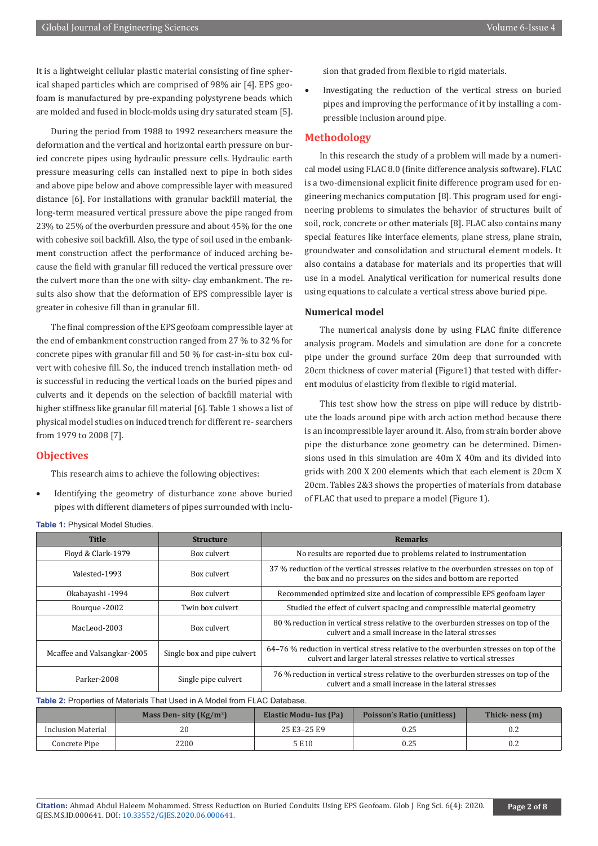It is a lightweight cellular plastic material consisting of fine spherical shaped particles which are comprised of 98% air [4]. EPS geofoam is manufactured by pre-expanding polystyrene beads which are molded and fused in block-molds using dry saturated steam [5].

During the period from 1988 to 1992 researchers measure the deformation and the vertical and horizontal earth pressure on buried concrete pipes using hydraulic pressure cells. Hydraulic earth pressure measuring cells can installed next to pipe in both sides and above pipe below and above compressible layer with measured distance [6]. For installations with granular backfill material, the long-term measured vertical pressure above the pipe ranged from 23% to 25% of the overburden pressure and about 45% for the one with cohesive soil backfill. Also, the type of soil used in the embankment construction affect the performance of induced arching because the field with granular fill reduced the vertical pressure over the culvert more than the one with silty- clay embankment. The results also show that the deformation of EPS compressible layer is greater in cohesive fill than in granular fill.

The final compression of the EPS geofoam compressible layer at the end of embankment construction ranged from 27 % to 32 % for concrete pipes with granular fill and 50 % for cast-in-situ box culvert with cohesive fill. So, the induced trench installation meth- od is successful in reducing the vertical loads on the buried pipes and culverts and it depends on the selection of backfill material with higher stiffness like granular fill material [6]. Table 1 shows a list of physical model studies on induced trench for different re- searchers from 1979 to 2008 [7].

#### **Objectives**

This research aims to achieve the following objectives:

Identifying the geometry of disturbance zone above buried pipes with different diameters of pipes surrounded with inclusion that graded from flexible to rigid materials.

Investigating the reduction of the vertical stress on buried pipes and improving the performance of it by installing a compressible inclusion around pipe.

# **Methodology**

In this research the study of a problem will made by a numerical model using FLAC 8.0 (finite difference analysis software). FLAC is a two-dimensional explicit finite difference program used for engineering mechanics computation [8]. This program used for engineering problems to simulates the behavior of structures built of soil, rock, concrete or other materials [8]. FLAC also contains many special features like interface elements, plane stress, plane strain, groundwater and consolidation and structural element models. It also contains a database for materials and its properties that will use in a model. Analytical verification for numerical results done using equations to calculate a vertical stress above buried pipe.

#### **Numerical model**

The numerical analysis done by using FLAC finite difference analysis program. Models and simulation are done for a concrete pipe under the ground surface 20m deep that surrounded with 20cm thickness of cover material (Figure1) that tested with different modulus of elasticity from flexible to rigid material.

This test show how the stress on pipe will reduce by distribute the loads around pipe with arch action method because there is an incompressible layer around it. Also, from strain border above pipe the disturbance zone geometry can be determined. Dimensions used in this simulation are 40m X 40m and its divided into grids with 200 X 200 elements which that each element is 20cm X 20cm. Tables 2&3 shows the properties of materials from database of FLAC that used to prepare a model (Figure 1).

| Table 1: Physical Model Studies. |                             |                                                                                                                                                             |  |  |  |
|----------------------------------|-----------------------------|-------------------------------------------------------------------------------------------------------------------------------------------------------------|--|--|--|
| <b>Title</b>                     | <b>Structure</b>            | <b>Remarks</b>                                                                                                                                              |  |  |  |
| Floyd & Clark-1979               | Box culvert                 | No results are reported due to problems related to instrumentation                                                                                          |  |  |  |
| Valested-1993                    | Box culvert                 | 37 % reduction of the vertical stresses relative to the overburden stresses on top of<br>the box and no pressures on the sides and bottom are reported      |  |  |  |
| Okabayashi -1994                 | Box culvert                 | Recommended optimized size and location of compressible EPS geofoam layer                                                                                   |  |  |  |
| Bourque -2002                    | Twin box culvert            | Studied the effect of culvert spacing and compressible material geometry                                                                                    |  |  |  |
| MacLeod-2003                     | Box culvert                 | 80 % reduction in vertical stress relative to the overburden stresses on top of the<br>culvert and a small increase in the lateral stresses                 |  |  |  |
| Mcaffee and Valsangkar-2005      | Single box and pipe culvert | 64–76 % reduction in vertical stress relative to the overburden stresses on top of the<br>culvert and larger lateral stresses relative to vertical stresses |  |  |  |
| Parker-2008                      | Single pipe culvert         | 76 % reduction in vertical stress relative to the overburden stresses on top of the<br>culvert and a small increase in the lateral stresses                 |  |  |  |

**Table 2:** Properties of Materials That Used in A Model from FLAC Database.

|                    | Mass Den- sity $(Kg/m3)$ | Elastic Modu- lus (Pa) | <b>Poisson's Ratio (unitless)</b> | Thick-ness (m) |
|--------------------|--------------------------|------------------------|-----------------------------------|----------------|
| Inclusion Material |                          | 25 E3-25 E9            | 0.25                              | 0.2            |
| Concrete Pipe      | 2200                     | 5E10                   | 0.25                              | 0.2            |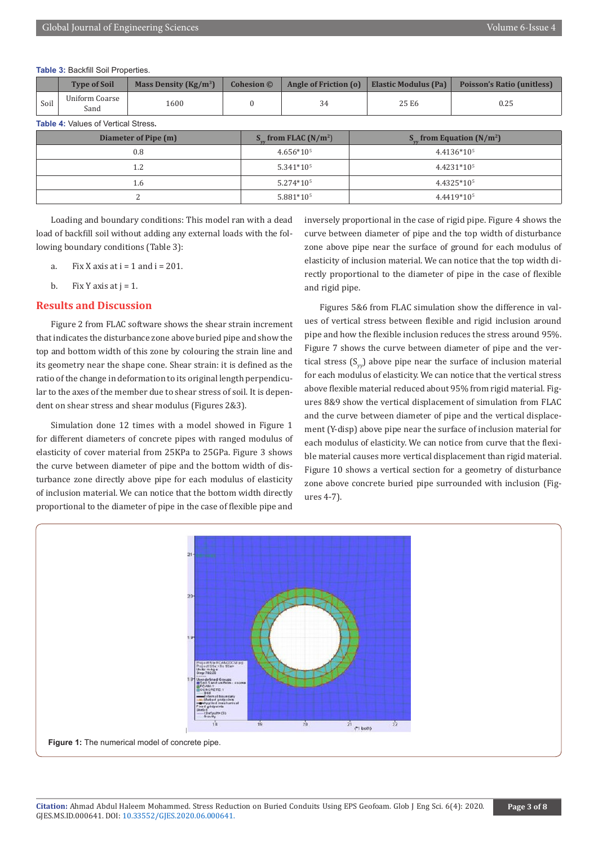**Table 3:** Backfill Soil Properties.

|      | <b>Type of Soil</b>    | Mass Density $(Kg/m^3)$ | <b>Cohesion</b> © |       | Angle of Friction (o)   Elastic Modulus (Pa)   Poisson's Ratio (unitless) |
|------|------------------------|-------------------------|-------------------|-------|---------------------------------------------------------------------------|
| Soil | Uniform Coarse<br>Sand | 1600                    |                   | 25 E6 | 0.25                                                                      |

**Table 4:** Values of Vertical Stress.

| Diameter of Pipe (m) | $S_{\ldots}$ from FLAC (N/m <sup>2</sup> ) | $S_{\ldots}$ from Equation (N/m <sup>2</sup> ) |
|----------------------|--------------------------------------------|------------------------------------------------|
| 0.8                  | $4.656*105$                                | 4.4136*105                                     |
| 1.2                  | $5.341*105$                                | 4.4231*105                                     |
| 1.6                  | $5.274*105$                                | 4.4325*105                                     |
|                      | 5.881*10 <sup>5</sup>                      | 4.4419*105                                     |

Loading and boundary conditions: This model ran with a dead load of backfill soil without adding any external loads with the following boundary conditions (Table 3):

- a. Fix X axis at  $i = 1$  and  $i = 201$ .
- b. Fix Y axis at  $j = 1$ .

#### **Results and Discussion**

Figure 2 from FLAC software shows the shear strain increment that indicates the disturbance zone above buried pipe and show the top and bottom width of this zone by colouring the strain line and its geometry near the shape cone. Shear strain: it is defined as the ratio of the change in deformation to its original length perpendicular to the axes of the member due to shear stress of soil. It is dependent on shear stress and shear modulus (Figures 2&3).

Simulation done 12 times with a model showed in Figure 1 for different diameters of concrete pipes with ranged modulus of elasticity of cover material from 25KPa to 25GPa. Figure 3 shows the curve between diameter of pipe and the bottom width of disturbance zone directly above pipe for each modulus of elasticity of inclusion material. We can notice that the bottom width directly proportional to the diameter of pipe in the case of flexible pipe and

inversely proportional in the case of rigid pipe. Figure 4 shows the curve between diameter of pipe and the top width of disturbance zone above pipe near the surface of ground for each modulus of elasticity of inclusion material. We can notice that the top width directly proportional to the diameter of pipe in the case of flexible and rigid pipe.

Figures 5&6 from FLAC simulation show the difference in values of vertical stress between flexible and rigid inclusion around pipe and how the flexible inclusion reduces the stress around 95%. Figure 7 shows the curve between diameter of pipe and the vertical stress  $(S_{yy})$  above pipe near the surface of inclusion material for each modulus of elasticity. We can notice that the vertical stress above flexible material reduced about 95% from rigid material. Figures 8&9 show the vertical displacement of simulation from FLAC and the curve between diameter of pipe and the vertical displacement (Y-disp) above pipe near the surface of inclusion material for each modulus of elasticity. We can notice from curve that the flexible material causes more vertical displacement than rigid material. Figure 10 shows a vertical section for a geometry of disturbance zone above concrete buried pipe surrounded with inclusion (Figures 4-7).

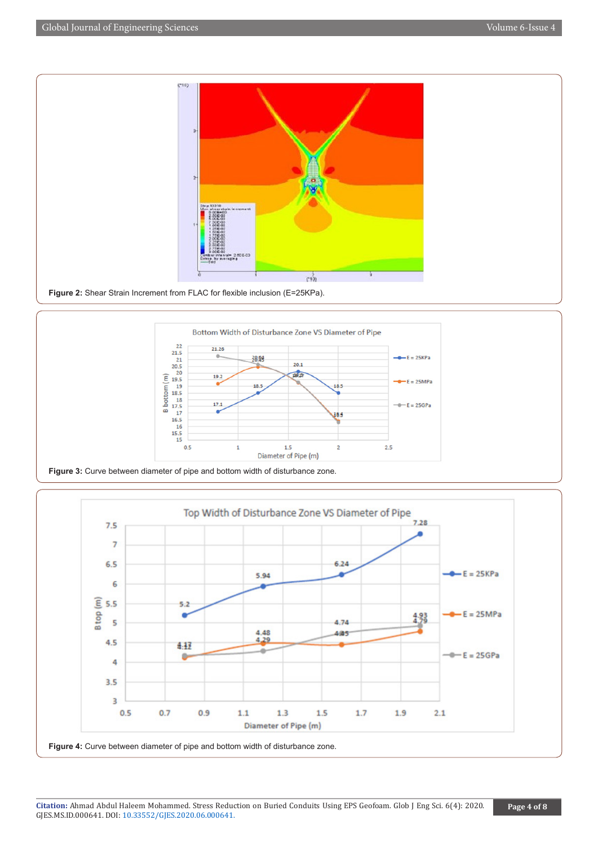



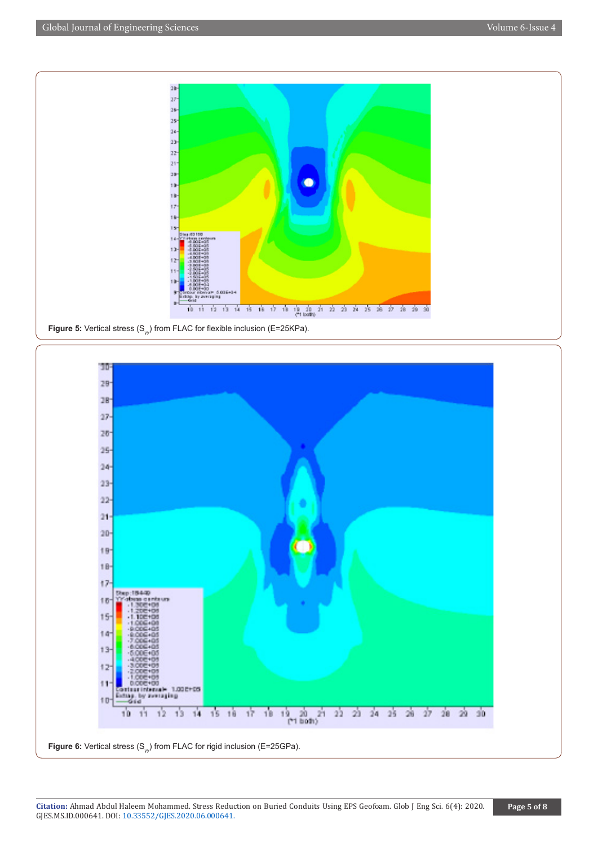





**Citation:** Ahmad Abdul Haleem Mohammed. Stress Reduction on Buried Conduits Using EPS Geofoam. Glob J Eng Sci. 6(4): 2020. GJES.MS.ID.000641. DOI: [10.33552/GJES.2020.06.000641.](http://dx.doi.org/10.33552/GJES.2020.06.000641)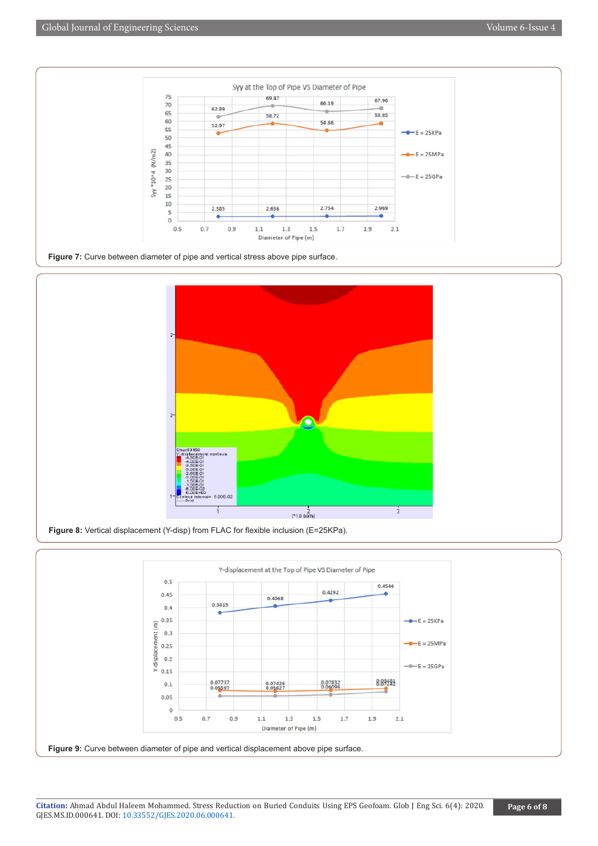



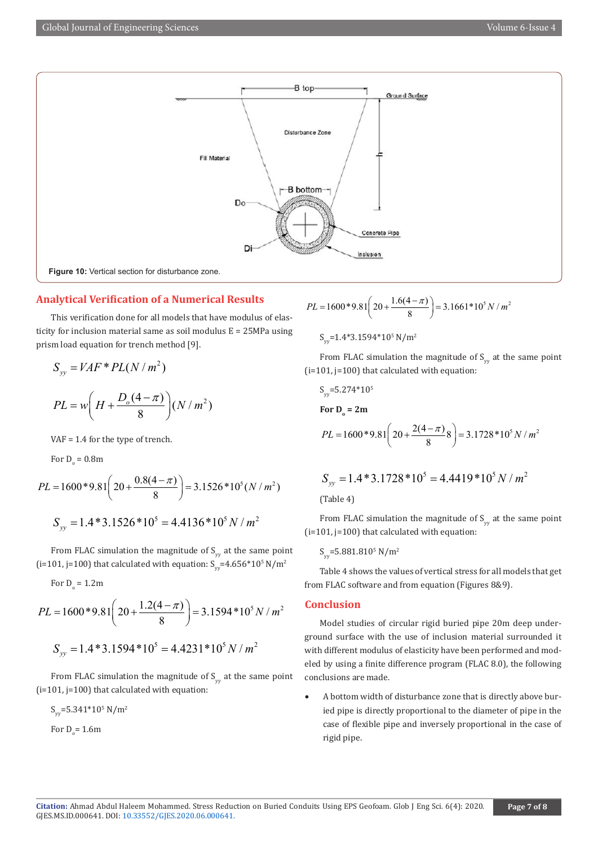

# **Analytical Verification of a Numerical Results**

This verification done for all models that have modulus of elasticity for inclusion material same as soil modulus E = 25MPa using prism load equation for trench method [9].

$$
S_{yy} = VAF * PL(N/m2)
$$
  

$$
PL = w \left( H + \frac{D_o(4-\pi)}{8} \right) (N/m2)
$$

VAF = 1.4 for the type of trench.

For  $D_{o} = 0.8$ m

$$
PL = 1600 * 9.81 \left( 20 + \frac{0.8(4 - \pi)}{8} \right) = 3.1526 * 10^5 (N / m^2)
$$

$$
S_w = 1.4 * 3.1526 * 10^5 = 4.4136 * 10^5 N / m^2
$$

From FLAC simulation the magnitude of  $S_{\text{vv}}$  at the same point (i=101, j=100) that calculated with equation:  $S_{yy}$ =4.656\*10<sup>5</sup> N/m<sup>2</sup>

For D<sub>o</sub> = 1.2m  
\n
$$
PL = 1600*9.81\left(20 + \frac{1.2(4 - \pi)}{8}\right) = 3.1594*10^5 N/m^2
$$
\n
$$
S_{vv} = 1.4*3.1594*10^5 = 4.4231*10^5 N/m^2
$$

From FLAC simulation the magnitude of  $S_{\text{vv}}$  at the same point (i=101, j=100) that calculated with equation:

$$
S_{yy}
$$
=5.341\*10<sup>5</sup> N/m<sup>2</sup>

For  $D_{o} = 1.6$ m

$$
PL = 1600 * 9.81 \left( 20 + \frac{1.6(4 - \pi)}{8} \right) = 3.1661 * 10^5 N / m^2
$$

 $S_{yy}$ =1.4\*3.1594\*10<sup>5</sup> N/m<sup>2</sup>

From FLAC simulation the magnitude of  $S_{\text{y}}$  at the same point (i=101, j=100) that calculated with equation:

$$
S_{yy}
$$
=5.274\*10<sup>5</sup>  
For D<sub>o</sub> = 2m  
 $PL = 1600*9.81(20 + \frac{2(4 - \pi)}{8}8) = 3.1728*105 N/m2$ 

$$
S_{yy} = 1.4*3.1728*105 = 4.4419*105 N/m2
$$

(Table 4)

From FLAC simulation the magnitude of  $S_{yy}$  at the same point (i=101, j=100) that calculated with equation:

$$
S_{yy}\text{=}5.881.810^{5}\ \text{N}/\text{m}^{2}
$$

Table 4 shows the values of vertical stress for all models that get from FLAC software and from equation (Figures 8&9).

# **Conclusion**

Model studies of circular rigid buried pipe 20m deep underground surface with the use of inclusion material surrounded it with different modulus of elasticity have been performed and modeled by using a finite difference program (FLAC 8.0), the following conclusions are made.

A bottom width of disturbance zone that is directly above buried pipe is directly proportional to the diameter of pipe in the case of flexible pipe and inversely proportional in the case of rigid pipe.